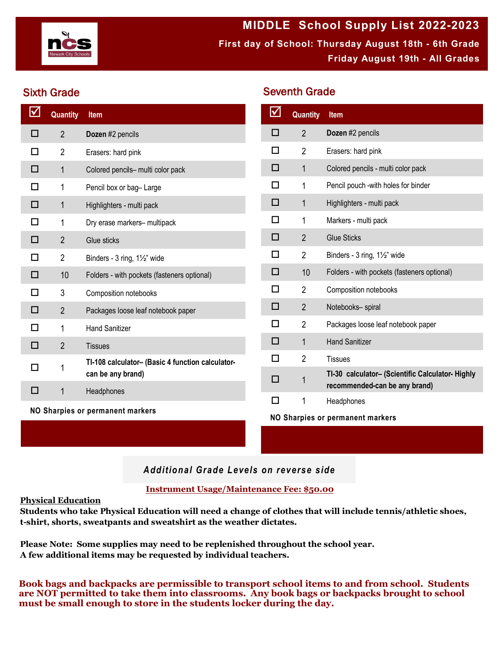

**MIDDLE School Supply List 2022-2023 First day of School: Thursday August 18th - 6th Grade Friday August 19th - All Grades**

Seventh Grade

# Sixth Grade

| $\blacktriangledown$ | <b>Quantity</b> | Item                                             |  | $\boxtimes$               | <b>Quantity</b> | Item                                                                              |
|----------------------|-----------------|--------------------------------------------------|--|---------------------------|-----------------|-----------------------------------------------------------------------------------|
| □                    | $\overline{2}$  | Dozen #2 pencils                                 |  | □                         | $\overline{2}$  | Dozen #2 pencils                                                                  |
| □                    | $\overline{2}$  | Erasers: hard pink                               |  | □                         | $\overline{2}$  | Erasers: hard pink                                                                |
| □                    | $\mathbf{1}$    | Colored pencils- multi color pack                |  | □                         | 1               | Colored pencils - multi color pack                                                |
| □                    | 1               | Pencil box or bag-Large                          |  | □                         | 1               | Pencil pouch -with holes for binder                                               |
| $\Box$               | 1               | □<br>$\mathbf 1$<br>Highlighters - multi pack    |  | Highlighters - multi pack |                 |                                                                                   |
| □                    | 1               | Dry erase markers- multipack                     |  | $\Box$                    | 1               | Markers - multi pack                                                              |
| □                    | $\overline{2}$  | Glue sticks                                      |  | □                         | $\overline{2}$  | <b>Glue Sticks</b>                                                                |
| □                    | $\overline{2}$  | Binders - 3 ring, 1½" wide                       |  | □                         | $\overline{2}$  | Binders - 3 ring, 1½" wide                                                        |
| □                    | 10              | Folders - with pockets (fasteners optional)      |  | $\Box$                    | 10              | Folders - with pockets (fasteners optional)                                       |
| □                    | 3               | Composition notebooks                            |  | □                         | $\overline{2}$  | Composition notebooks                                                             |
| $\Box$               | $\overline{2}$  | Packages loose leaf notebook paper               |  | $\Box$                    | $\overline{2}$  | Notebooks- spiral                                                                 |
| П                    | 1               | <b>Hand Sanitizer</b>                            |  | $\Box$                    | $\overline{2}$  | Packages loose leaf notebook paper                                                |
| $\Box$               | $\overline{2}$  | <b>Tissues</b>                                   |  | $\Box$                    | 1               | <b>Hand Sanitizer</b>                                                             |
| □                    | 1               | TI-108 calculator- (Basic 4 function calculator- |  | $\Box$                    | $\overline{2}$  | <b>Tissues</b>                                                                    |
|                      |                 | can be any brand)                                |  | $\Box$                    | 1               | TI-30 calculator- (Scientific Calculator- Highly<br>recommended-can be any brand) |
| □                    | 1               | Headphones                                       |  | □                         | 1               | Headphones                                                                        |
|                      |                 | NO Sharpies or permanent markers                 |  |                           |                 | NO Sharpies or permanent markers                                                  |

## *Additional Grade Levels on reverse side*

### **Instrument Usage/Maintenance Fee: \$50.00**

#### **Physical Education**

**Students who take Physical Education will need a change of clothes that will include tennis/athletic shoes, t-shirt, shorts, sweatpants and sweatshirt as the weather dictates.**

**Please Note: Some supplies may need to be replenished throughout the school year. A few additional items may be requested by individual teachers.**

**Book bags and backpacks are permissible to transport school items to and from school. Students are NOT permitted to take them into classrooms. Any book bags or backpacks brought to school must be small enough to store in the students locker during the day.**